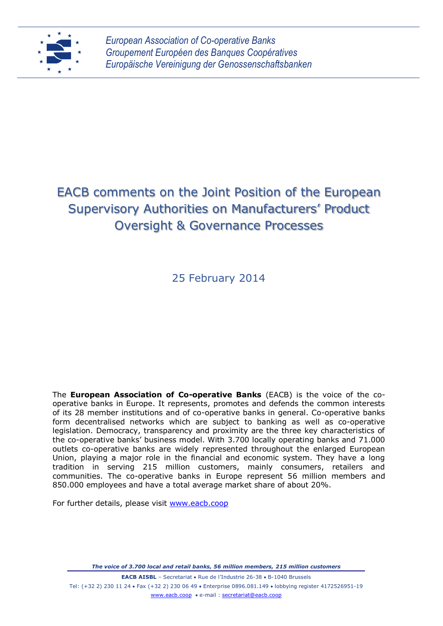

*European Association of Co-operative Banks Groupement Européen des Banques Coopératives Europäische Vereinigung der Genossenschaftsbanken*

# EACB comments on the Joint Position of the European Supervisory Authorities on Manufacturers' Product Oversight & Governance Processes

25 February 2014

The **European Association of Co-operative Banks** (EACB) is the voice of the cooperative banks in Europe. It represents, promotes and defends the common interests of its 28 member institutions and of co-operative banks in general. Co-operative banks form decentralised networks which are subject to banking as well as co-operative legislation. Democracy, transparency and proximity are the three key characteristics of the co-operative banks' business model. With 3.700 locally operating banks and 71.000 outlets co-operative banks are widely represented throughout the enlarged European Union, playing a major role in the financial and economic system. They have a long tradition in serving 215 million customers, mainly consumers, retailers and communities. The co-operative banks in Europe represent 56 million members and 850.000 employees and have a total average market share of about 20%.

For further details, please visit [www.eacb.coop](http://www.eacb.coop/)

*The voice of 3.700 local and retail banks, 56 million members, 215 million customers*

**EACB AISBL** - Secretariat . Rue de l'Industrie 26-38 . B-1040 Brussels Tel: (+32 2) 230 11 24 Fax (+32 2) 230 06 49 Enterprise 0896.081.149 lobbying register 4172526951-19 [www.eacb.coop](http://www.eacb.coop/) e-mail [: secretariat@eacb.coop](mailto:secretariat@eacb.coop)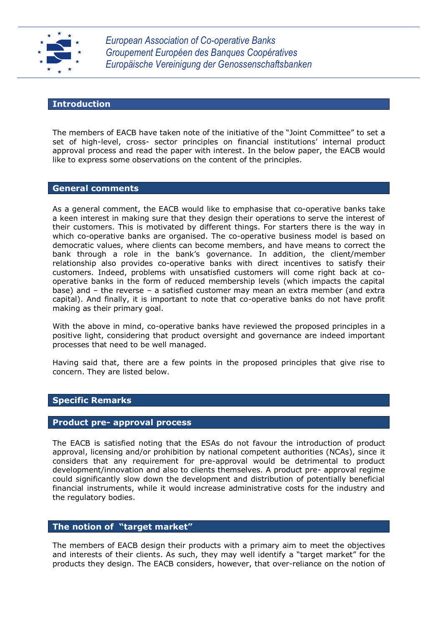

*European Association of Co-operative Banks Groupement Européen des Banques Coopératives Europäische Vereinigung der Genossenschaftsbanken*

## **Introduction**

The members of EACB have taken note of the initiative of the "Joint Committee" to set a set of high-level, cross- sector principles on financial institutions' internal product approval process and read the paper with interest. In the below paper, the EACB would like to express some observations on the content of the principles.

# **General comments**

As a general comment, the EACB would like to emphasise that co-operative banks take a keen interest in making sure that they design their operations to serve the interest of their customers. This is motivated by different things. For starters there is the way in which co-operative banks are organised. The co-operative business model is based on democratic values, where clients can become members, and have means to correct the bank through a role in the bank's governance. In addition, the client/member relationship also provides co-operative banks with direct incentives to satisfy their customers. Indeed, problems with unsatisfied customers will come right back at cooperative banks in the form of reduced membership levels (which impacts the capital base) and – the reverse – a satisfied customer may mean an extra member (and extra capital). And finally, it is important to note that co-operative banks do not have profit making as their primary goal.

With the above in mind, co-operative banks have reviewed the proposed principles in a positive light, considering that product oversight and governance are indeed important processes that need to be well managed.

Having said that, there are a few points in the proposed principles that give rise to concern. They are listed below.

# **Specific Remarks**

#### **Product pre- approval process**

The EACB is satisfied noting that the ESAs do not favour the introduction of product approval, licensing and/or prohibition by national competent authorities (NCAs), since it considers that any requirement for pre-approval would be detrimental to product development/innovation and also to clients themselves. A product pre- approval regime could significantly slow down the development and distribution of potentially beneficial financial instruments, while it would increase administrative costs for the industry and the regulatory bodies.

## **The notion of "target market"**

The members of EACB design their products with a primary aim to meet the objectives and interests of their clients. As such, they may well identify a "target market" for the products they design. The EACB considers, however, that over-reliance on the notion of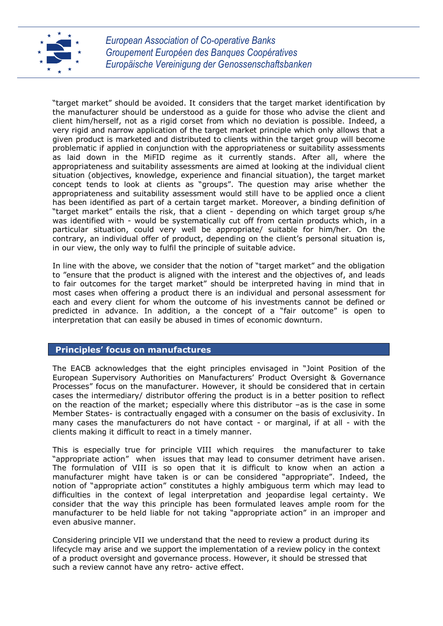

"target market" should be avoided. It considers that the target market identification by the manufacturer should be understood as a guide for those who advise the client and client him/herself, not as a rigid corset from which no deviation is possible. Indeed, a very rigid and narrow application of the target market principle which only allows that a given product is marketed and distributed to clients within the target group will become problematic if applied in conjunction with the appropriateness or suitability assessments as laid down in the MiFID regime as it currently stands. After all, where the appropriateness and suitability assessments are aimed at looking at the individual client situation (objectives, knowledge, experience and financial situation), the target market concept tends to look at clients as "groups". The question may arise whether the appropriateness and suitability assessment would still have to be applied once a client has been identified as part of a certain target market. Moreover, a binding definition of "target market" entails the risk, that a client - depending on which target group s/he was identified with - would be systematically cut off from certain products which, in a particular situation, could very well be appropriate/ suitable for him/her. On the contrary, an individual offer of product, depending on the client's personal situation is, in our view, the only way to fulfil the principle of suitable advice.

In line with the above, we consider that the notion of "target market" and the obligation to "ensure that the product is aligned with the interest and the objectives of, and leads to fair outcomes for the target market" should be interpreted having in mind that in most cases when offering a product there is an individual and personal assessment for each and every client for whom the outcome of his investments cannot be defined or predicted in advance. In addition, a the concept of a "fair outcome" is open to interpretation that can easily be abused in times of economic downturn.

## **Principles' focus on manufactures**

The EACB acknowledges that the eight principles envisaged in "Joint Position of the European Supervisory Authorities on Manufacturers' Product Oversight & Governance Processes" focus on the manufacturer. However, it should be considered that in certain cases the intermediary/ distributor offering the product is in a better position to reflect on the reaction of the market; especially where this distributor –as is the case in some Member States- is contractually engaged with a consumer on the basis of exclusivity. In many cases the manufacturers do not have contact - or marginal, if at all - with the clients making it difficult to react in a timely manner.

This is especially true for principle VIII which requires the manufacturer to take "appropriate action" when issues that may lead to consumer detriment have arisen. The formulation of VIII is so open that it is difficult to know when an action a manufacturer might have taken is or can be considered "appropriate". Indeed, the notion of "appropriate action" constitutes a highly ambiguous term which may lead to difficulties in the context of legal interpretation and jeopardise legal certainty. We consider that the way this principle has been formulated leaves ample room for the manufacturer to be held liable for not taking "appropriate action" in an improper and even abusive manner.

Considering principle VII we understand that the need to review a product during its lifecycle may arise and we support the implementation of a review policy in the context of a product oversight and governance process. However, it should be stressed that such a review cannot have any retro- active effect.